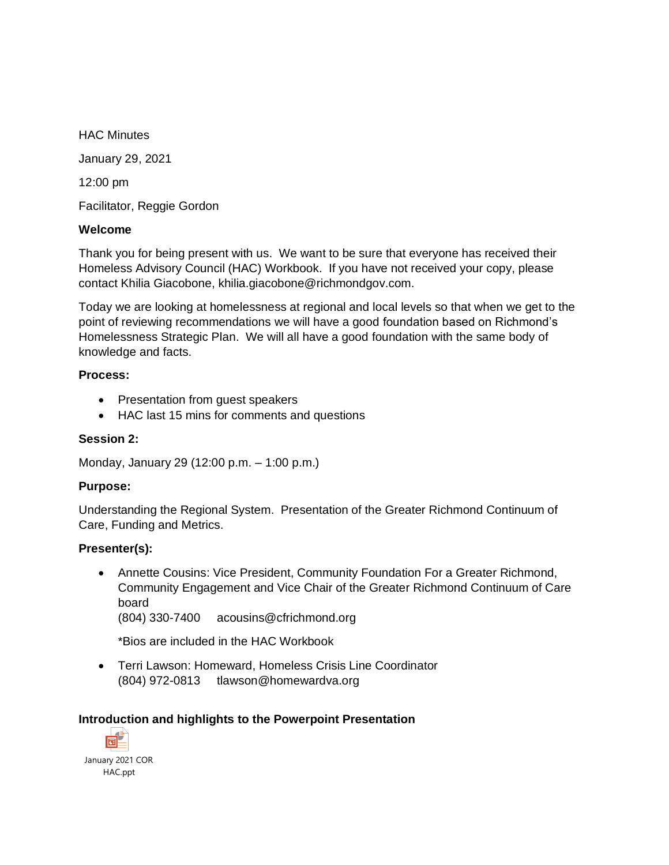HAC Minutes January 29, 2021 12:00 pm Facilitator, Reggie Gordon

### **Welcome**

Thank you for being present with us. We want to be sure that everyone has received their Homeless Advisory Council (HAC) Workbook. If you have not received your copy, please contact Khilia Giacobone, khilia.giacobone@richmondgov.com.

Today we are looking at homelessness at regional and local levels so that when we get to the point of reviewing recommendations we will have a good foundation based on Richmond's Homelessness Strategic Plan. We will all have a good foundation with the same body of knowledge and facts.

#### **Process:**

- Presentation from guest speakers
- HAC last 15 mins for comments and questions

### **Session 2:**

Monday, January 29 (12:00 p.m. – 1:00 p.m.)

#### **Purpose:**

Understanding the Regional System. Presentation of the Greater Richmond Continuum of Care, Funding and Metrics.

#### **Presenter(s):**

• Annette Cousins: Vice President, Community Foundation For a Greater Richmond, Community Engagement and Vice Chair of the Greater Richmond Continuum of Care board

(804) 330-7400 acousins@cfrichmond.org

\*Bios are included in the HAC Workbook

• Terri Lawson: Homeward, Homeless Crisis Line Coordinator (804) 972-0813 tlawson@homewardva.org

### **Introduction and highlights to the Powerpoint Presentation**

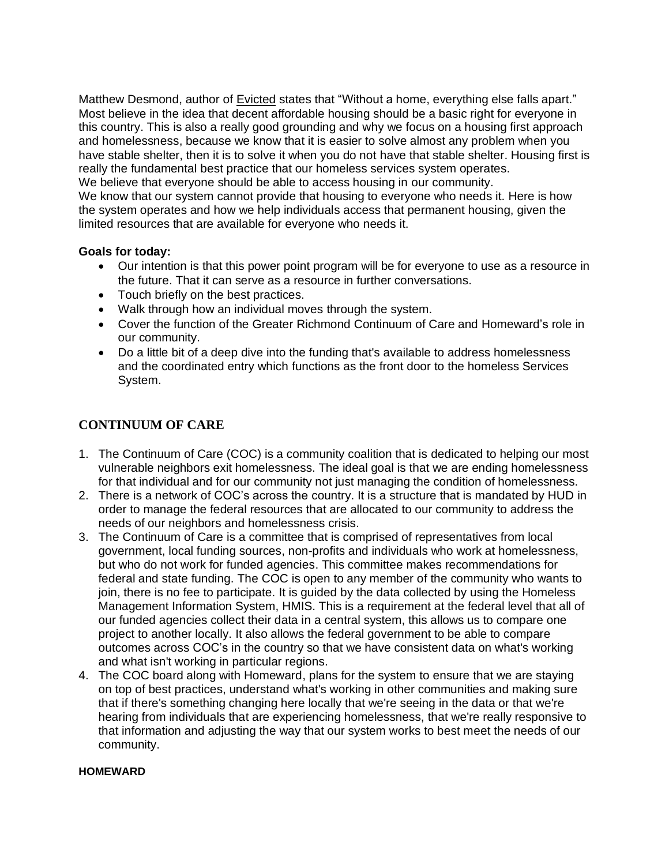Matthew Desmond, author of Evicted states that "Without a home, everything else falls apart." Most believe in the idea that decent affordable housing should be a basic right for everyone in this country. This is also a really good grounding and why we focus on a housing first approach and homelessness, because we know that it is easier to solve almost any problem when you have stable shelter, then it is to solve it when you do not have that stable shelter. Housing first is really the fundamental best practice that our homeless services system operates. We believe that everyone should be able to access housing in our community.

We know that our system cannot provide that housing to everyone who needs it. Here is how the system operates and how we help individuals access that permanent housing, given the limited resources that are available for everyone who needs it.

### **Goals for today:**

- Our intention is that this power point program will be for everyone to use as a resource in the future. That it can serve as a resource in further conversations.
- Touch briefly on the best practices.
- Walk through how an individual moves through the system.
- Cover the function of the Greater Richmond Continuum of Care and Homeward's role in our community.
- Do a little bit of a deep dive into the funding that's available to address homelessness and the coordinated entry which functions as the front door to the homeless Services System.

## **CONTINUUM OF CARE**

- 1. The Continuum of Care (COC) is a community coalition that is dedicated to helping our most vulnerable neighbors exit homelessness. The ideal goal is that we are ending homelessness for that individual and for our community not just managing the condition of homelessness.
- 2. There is a network of COC's across the country. It is a structure that is mandated by HUD in order to manage the federal resources that are allocated to our community to address the needs of our neighbors and homelessness crisis.
- 3. The Continuum of Care is a committee that is comprised of representatives from local government, local funding sources, non-profits and individuals who work at homelessness, but who do not work for funded agencies. This committee makes recommendations for federal and state funding. The COC is open to any member of the community who wants to join, there is no fee to participate. It is guided by the data collected by using the Homeless Management Information System, HMIS. This is a requirement at the federal level that all of our funded agencies collect their data in a central system, this allows us to compare one project to another locally. It also allows the federal government to be able to compare outcomes across COC's in the country so that we have consistent data on what's working and what isn't working in particular regions.
- 4. The COC board along with Homeward, plans for the system to ensure that we are staying on top of best practices, understand what's working in other communities and making sure that if there's something changing here locally that we're seeing in the data or that we're hearing from individuals that are experiencing homelessness, that we're really responsive to that information and adjusting the way that our system works to best meet the needs of our community.

#### **HOMEWARD**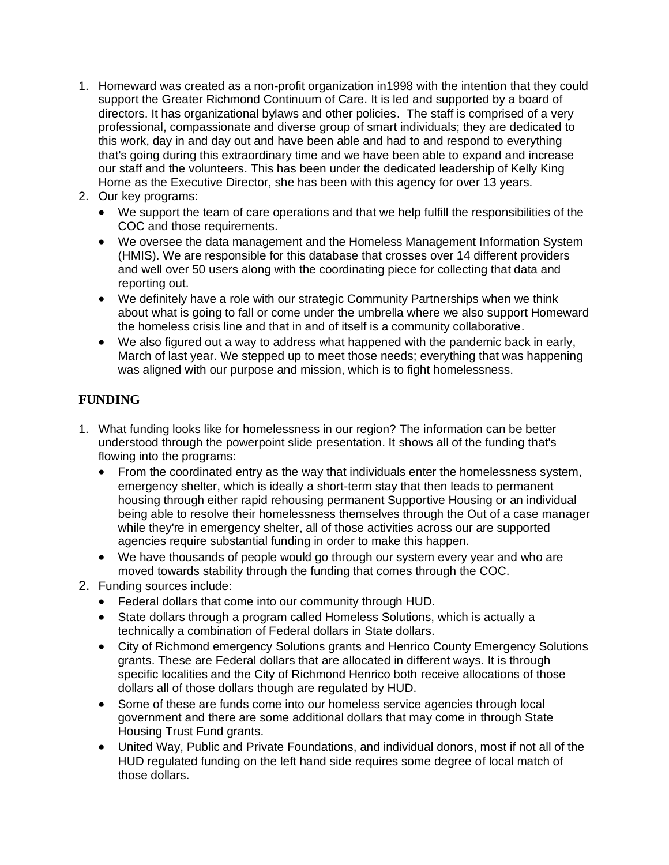- 1. Homeward was created as a non-profit organization in1998 with the intention that they could support the Greater Richmond Continuum of Care. It is led and supported by a board of directors. It has organizational bylaws and other policies. The staff is comprised of a very professional, compassionate and diverse group of smart individuals; they are dedicated to this work, day in and day out and have been able and had to and respond to everything that's going during this extraordinary time and we have been able to expand and increase our staff and the volunteers. This has been under the dedicated leadership of Kelly King Horne as the Executive Director, she has been with this agency for over 13 years.
- 2. Our key programs:
	- We support the team of care operations and that we help fulfill the responsibilities of the COC and those requirements.
	- We oversee the data management and the Homeless Management Information System (HMIS). We are responsible for this database that crosses over 14 different providers and well over 50 users along with the coordinating piece for collecting that data and reporting out.
	- We definitely have a role with our strategic Community Partnerships when we think about what is going to fall or come under the umbrella where we also support Homeward the homeless crisis line and that in and of itself is a community collaborative.
	- We also figured out a way to address what happened with the pandemic back in early, March of last year. We stepped up to meet those needs; everything that was happening was aligned with our purpose and mission, which is to fight homelessness.

# **FUNDING**

- 1. What funding looks like for homelessness in our region? The information can be better understood through the powerpoint slide presentation. It shows all of the funding that's flowing into the programs:
	- From the coordinated entry as the way that individuals enter the homelessness system, emergency shelter, which is ideally a short-term stay that then leads to permanent housing through either rapid rehousing permanent Supportive Housing or an individual being able to resolve their homelessness themselves through the Out of a case manager while they're in emergency shelter, all of those activities across our are supported agencies require substantial funding in order to make this happen.
	- We have thousands of people would go through our system every year and who are moved towards stability through the funding that comes through the COC.
- 2. Funding sources include:
	- Federal dollars that come into our community through HUD.
	- State dollars through a program called Homeless Solutions, which is actually a technically a combination of Federal dollars in State dollars.
	- City of Richmond emergency Solutions grants and Henrico County Emergency Solutions grants. These are Federal dollars that are allocated in different ways. It is through specific localities and the City of Richmond Henrico both receive allocations of those dollars all of those dollars though are regulated by HUD.
	- Some of these are funds come into our homeless service agencies through local government and there are some additional dollars that may come in through State Housing Trust Fund grants.
	- United Way, Public and Private Foundations, and individual donors, most if not all of the HUD regulated funding on the left hand side requires some degree of local match of those dollars.